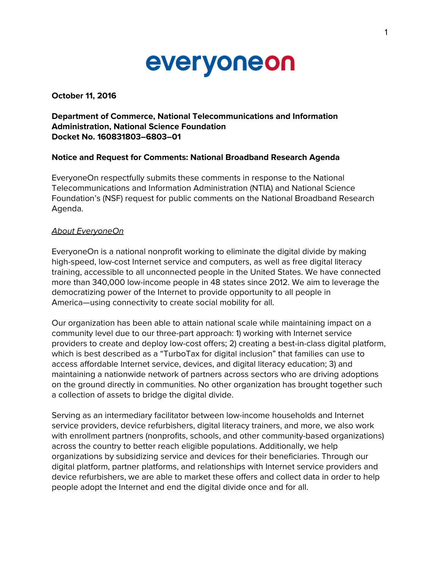

#### October 11, 2016

# Department of Commerce, National Telecommunications and Information Administration, National Science Foundation Docket No. 160831803–6803–01

#### Notice and Request for Comments: National Broadband Research Agenda

EveryoneOn respectfully submits these comments in response to the National Telecommunications and Information Administration (NTIA) and National Science Foundation's (NSF) request for public comments on the National Broadband Research Agenda.

#### About EveryoneOn

EveryoneOn is a national nonprofit working to eliminate the digital divide by making high-speed, low-cost Internet service and computers, as well as free digital literacy training, accessible to all unconnected people in the United States. We have connected more than 340,000 low-income people in 48 states since 2012. We aim to leverage the democratizing power of the Internet to provide opportunity to all people in America—using connectivity to create social mobility for all.

Our organization has been able to attain national scale while maintaining impact on a community level due to our three-part approach: 1) working with Internet service providers to create and deploy low-cost offers; 2) creating a best-in-class digital platform, which is best described as a "TurboTax for digital inclusion" that families can use to access affordable Internet service, devices, and digital literacy education; 3) and maintaining a nationwide network of partners across sectors who are driving adoptions on the ground directly in communities. No other organization has brought together such a collection of assets to bridge the digital divide.

Serving as an intermediary facilitator between low-income households and Internet service providers, device refurbishers, digital literacy trainers, and more, we also work with enrollment partners (nonprofits, schools, and other community-based organizations) across the country to better reach eligible populations. Additionally, we help organizations by subsidizing service and devices for their beneficiaries. Through our digital platform, partner platforms, and relationships with Internet service providers and device refurbishers, we are able to market these offers and collect data in order to help people adopt the Internet and end the digital divide once and for all.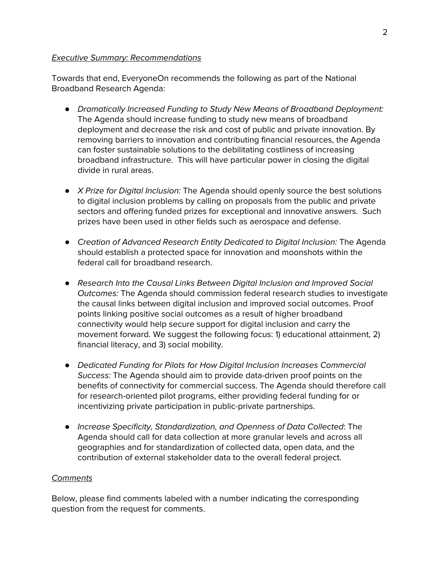# Executive Summary: Recommendations

Towards that end, EveryoneOn recommends the following as part of the National Broadband Research Agenda:

- *●* Dramatically Increased Funding to Study New Means of Broadband Deployment: The Agenda should increase funding to study new means of broadband deployment and decrease the risk and cost of public and private innovation. By removing barriers to innovation and contributing financial resources, the Agenda can foster sustainable solutions to the debilitating costliness of increasing broadband infrastructure. This will have particular power in closing the digital divide in rural areas.
- *●* X Prize for Digital Inclusion: The Agenda should openly source the best solutions to digital inclusion problems by calling on proposals from the public and private sectors and offering funded prizes for exceptional and innovative answers. Such prizes have been used in other fields such as aerospace and defense.
- *●* Creation of Advanced Research Entity Dedicated to Digital Inclusion: The Agenda should establish a protected space for innovation and moonshots within the federal call for broadband research.
- *●* Research Into the Causal Links Between Digital Inclusion and Improved Social Outcomes: The Agenda should commission federal research studies to investigate the causal links between digital inclusion and improved social outcomes. Proof points linking positive social outcomes as a result of higher broadband connectivity would help secure support for digital inclusion and carry the movement forward. We suggest the following focus: 1) educational attainment, 2) financial literacy, and 3) social mobility.
- *●* Dedicated Funding for Pilots for How Digital Inclusion Increases Commercial Success: The Agenda should aim to provide data-driven proof points on the benefits of connectivity for commercial success. The Agenda should therefore call for research-oriented pilot programs, either providing federal funding for or incentivizing private participation in public-private partnerships.
- *●* Increase Specificity, Standardization, and Openness of Data Collected: The Agenda should call for data collection at more granular levels and across all geographies and for standardization of collected data, open data, and the contribution of external stakeholder data to the overall federal project.

### **Comments**

Below, please find comments labeled with a number indicating the corresponding question from the request for comments.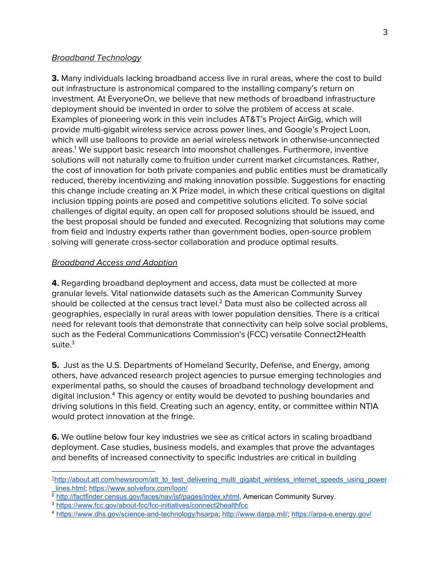# **Broadband Technology**

**3.** Many individuals lacking broadband access live in rural areas, where the cost to build out infrastructure is astronomical compared to the installing company's return on investment. At EveryoneOn, we believe that new methods of broadband infrastructure deployment should be invented in order to solve the problem of access at scale. Examples of pioneering work in this vein includes AT&T's Project AirGig, which will provide multi-gigabit wireless service across power lines, and Google's Project Loon, which will use balloons to provide an aerial wireless network in otherwise-unconnected areas.<sup>1</sup> We support basic research into moonshot challenges. Furthermore, inventive solutions will not naturally come to fruition under current market circumstances. Rather, the cost of innovation for both private companies and public entities must be dramatically reduced, thereby incentivizing and making innovation possible. Suggestions for enacting this change include creating an X Prize model, in which these critical questions on digital inclusion tipping points are posed and competitive solutions elicited. To solve social challenges of digital equity, an open call for proposed solutions should be issued, and the best proposal should be funded and executed. Recognizing that solutions may come from field and industry experts rather than government bodies, open-source problem solving will generate cross-sector collaboration and produce optimal results.

# Broadband Access and Adoption

4. Regarding broadband deployment and access, data must be collected at more granular levels. Vital nationwide datasets such as the American Community Survey should be collected at the census tract level.<sup>2</sup> Data must also be collected across all geographies, especially in rural areas with lower population densities. There is a critical need for relevant tools that demonstrate that connectivity can help solve social problems, such as the Federal Communications Commission's (FCC) versatile Connect2Health suite. $3$ 

5. Just as the U.S. Departments of Homeland Security, Defense, and Energy, among others, have advanced research project agencies to pursue emerging technologies and experimental paths, so should the causes of broadband technology development and digital inclusion.<sup>4</sup> This agency or entity would be devoted to pushing boundaries and driving solutions in this field. Creating such an agency, entity, or committee within NTIA would protect innovation at the fringe.

**6.** We outline below four key industries we see as critical actors in scaling broadband deployment. Case studies, business models, and examples that prove the advantages and benefits of increased connectivity to specific industries are critical in building

<sup>&</sup>lt;sup>1</sup>[http://about.att.com/newsroom/att\\_to\\_test\\_delivering\\_multi\\_gigabit\\_wireless\\_internet\\_speeds\\_using\\_power](http://about.att.com/newsroom/att_to_test_delivering_multi_gigabit_wireless_internet_speeds_using_power_lines.html) [\\_lines.html;](http://about.att.com/newsroom/att_to_test_delivering_multi_gigabit_wireless_internet_speeds_using_power_lines.html)<https://www.solveforx.com/loon/>

<sup>2</sup> [http://factfinder.census.gov/faces/nav/jsf/pages/index.xhtml,](http://factfinder.census.gov/faces/nav/jsf/pages/index.xhtml) American Community Survey.

<sup>3</sup> <https://www.fcc.gov/about-fcc/fcc-initiatives/connect2healthfcc>

<sup>4</sup> [https://www.dhs.gov/science-and-technology/hsarpa;](https://www.dhs.gov/science-and-technology/hsarpa) [http://www.darpa.mil/;](http://www.darpa.mil/) <https://arpa-e.energy.gov/>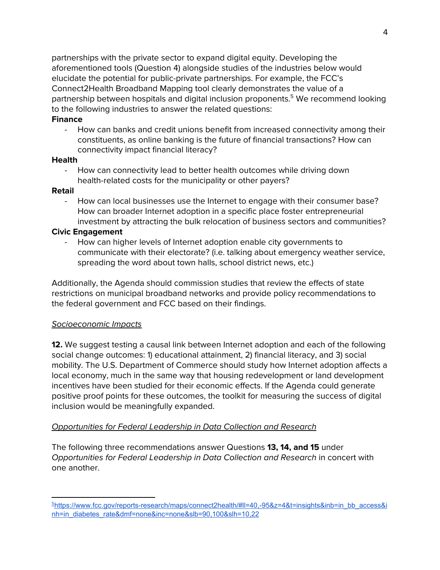partnerships with the private sector to expand digital equity. Developing the aforementioned tools (Question 4) alongside studies of the industries below would elucidate the potential for public-private partnerships. For example, the FCC's Connect2Health Broadband Mapping tool clearly demonstrates the value of a partnership between hospitals and digital inclusion proponents.<sup>5</sup> We recommend looking to the following industries to answer the related questions:

#### **Finance**

- How can banks and credit unions benefit from increased connectivity among their constituents, as online banking is the future of financial transactions? How can connectivity impact financial literacy?

### **Health**

- How can connectivity lead to better health outcomes while driving down health-related costs for the municipality or other payers?

### Retail

- How can local businesses use the Internet to engage with their consumer base? How can broader Internet adoption in a specific place foster entrepreneurial investment by attracting the bulk relocation of business sectors and communities?

# Civic Engagement

How can higher levels of Internet adoption enable city governments to communicate with their electorate? (i.e. talking about emergency weather service, spreading the word about town halls, school district news, etc.)

Additionally, the Agenda should commission studies that review the effects of state restrictions on municipal broadband networks and provide policy recommendations to the federal government and FCC based on their findings.

### Socioeconomic Impacts

**12.** We suggest testing a causal link between Internet adoption and each of the following social change outcomes: 1) educational attainment, 2) financial literacy, and 3) social mobility. The U.S. Department of Commerce should study how Internet adoption affects a local economy, much in the same way that housing redevelopment or land development incentives have been studied for their economic effects. If the Agenda could generate positive proof points for these outcomes, the toolkit for measuring the success of digital inclusion would be meaningfully expanded.

# Opportunities for Federal Leadership in Data Collection and Research

The following three recommendations answer Questions 13, 14, and 15 under Opportunities for Federal Leadership in Data Collection and Research in concert with one another.

<sup>5</sup>[https://www.fcc.gov/reports-research/maps/connect2health/#ll=40,-95&z=4&t=insights&inb=in\\_bb\\_access&i](https://www.fcc.gov/reports-research/maps/connect2health/#ll=40,-95&z=4&t=insights&inb=in_bb_access&inh=in_diabetes_rate&dmf=none&inc=none&slb=90,100&slh=10,22) [nh=in\\_diabetes\\_rate&dmf=none&inc=none&slb=90,100&slh=10,22](https://www.fcc.gov/reports-research/maps/connect2health/#ll=40,-95&z=4&t=insights&inb=in_bb_access&inh=in_diabetes_rate&dmf=none&inc=none&slb=90,100&slh=10,22)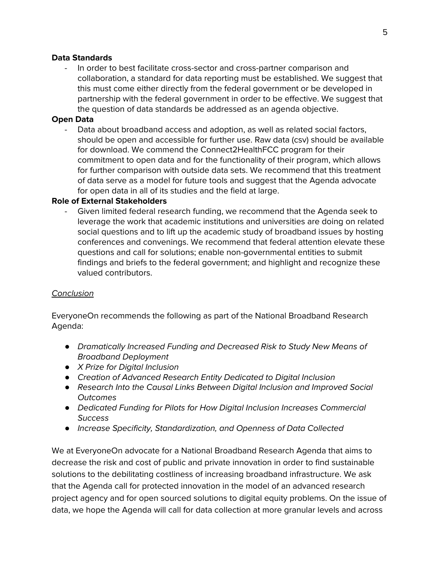# Data Standards

- In order to best facilitate cross-sector and cross-partner comparison and collaboration, a standard for data reporting must be established. We suggest that this must come either directly from the federal government or be developed in partnership with the federal government in order to be effective. We suggest that the question of data standards be addressed as an agenda objective.

# Open Data

Data about broadband access and adoption, as well as related social factors, should be open and accessible for further use. Raw data (csv) should be available for download. We commend the Connect2HealthFCC program for their commitment to open data and for the functionality of their program, which allows for further comparison with outside data sets. We recommend that this treatment of data serve as a model for future tools and suggest that the Agenda advocate for open data in all of its studies and the field at large.

### Role of External Stakeholders

Given limited federal research funding, we recommend that the Agenda seek to leverage the work that academic institutions and universities are doing on related social questions and to lift up the academic study of broadband issues by hosting conferences and convenings. We recommend that federal attention elevate these questions and call for solutions; enable non-governmental entities to submit findings and briefs to the federal government; and highlight and recognize these valued contributors.

### Conclusion

EveryoneOn recommends the following as part of the National Broadband Research Agenda:

- *●* Dramatically Increased Funding and Decreased Risk to Study New Means of Broadband Deployment
- *●* X Prize for Digital Inclusion
- *●* Creation of Advanced Research Entity Dedicated to Digital Inclusion
- *●* Research Into the Causal Links Between Digital Inclusion and Improved Social **Outcomes**
- *●* Dedicated Funding for Pilots for How Digital Inclusion Increases Commercial **Success**
- *●* Increase Specificity, Standardization, and Openness of Data Collected

We at EveryoneOn advocate for a National Broadband Research Agenda that aims to decrease the risk and cost of public and private innovation in order to find sustainable solutions to the debilitating costliness of increasing broadband infrastructure. We ask that the Agenda call for protected innovation in the model of an advanced research project agency and for open sourced solutions to digital equity problems. On the issue of data, we hope the Agenda will call for data collection at more granular levels and across